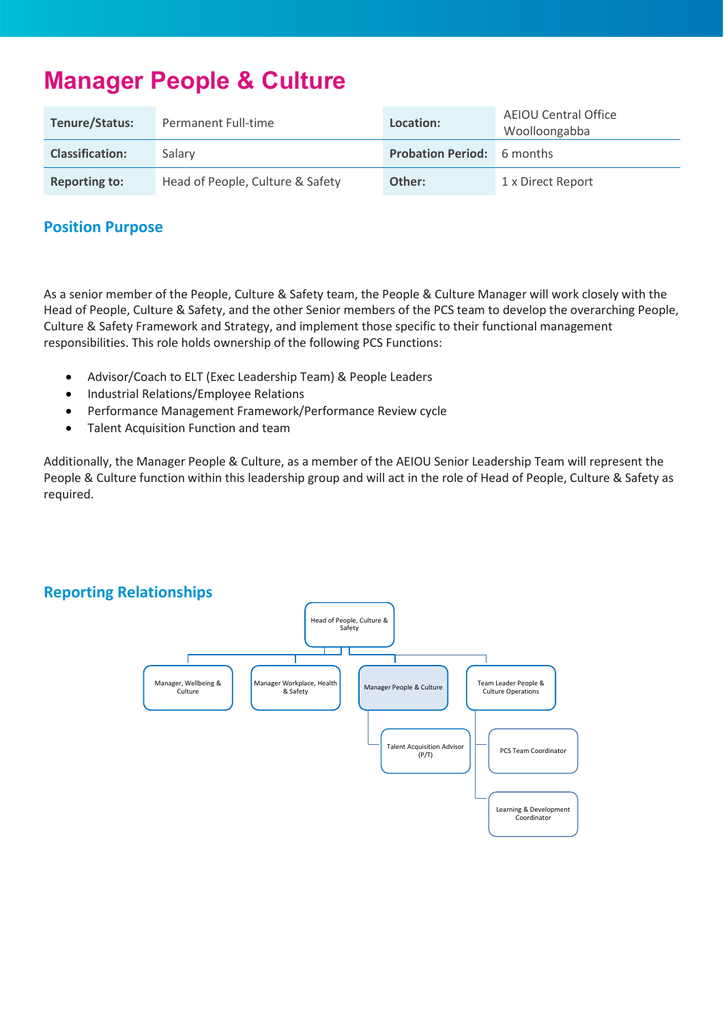# **Manager People & Culture**

| Tenure/Status:         | Permanent Full-time              | Location:                         | <b>AEIOU Central Office</b><br>Woolloongabba |
|------------------------|----------------------------------|-----------------------------------|----------------------------------------------|
| <b>Classification:</b> | Salary                           | <b>Probation Period:</b> 6 months |                                              |
| <b>Reporting to:</b>   | Head of People, Culture & Safety | Other:                            | 1 x Direct Report                            |

## **Position Purpose**

As a senior member of the People, Culture & Safety team, the People & Culture Manager will work closely with the Head of People, Culture & Safety, and the other Senior members of the PCS team to develop the overarching People, Culture & Safety Framework and Strategy, and implement those specific to their functional management responsibilities. This role holds ownership of the following PCS Functions:

- Advisor/Coach to ELT (Exec Leadership Team) & People Leaders
- Industrial Relations/Employee Relations
- Performance Management Framework/Performance Review cycle
- Talent Acquisition Function and team

Additionally, the Manager People & Culture, as a member of the AEIOU Senior Leadership Team will represent the People & Culture function within this leadership group and will act in the role of Head of People, Culture & Safety as required.

#### **Reporting Relationships**

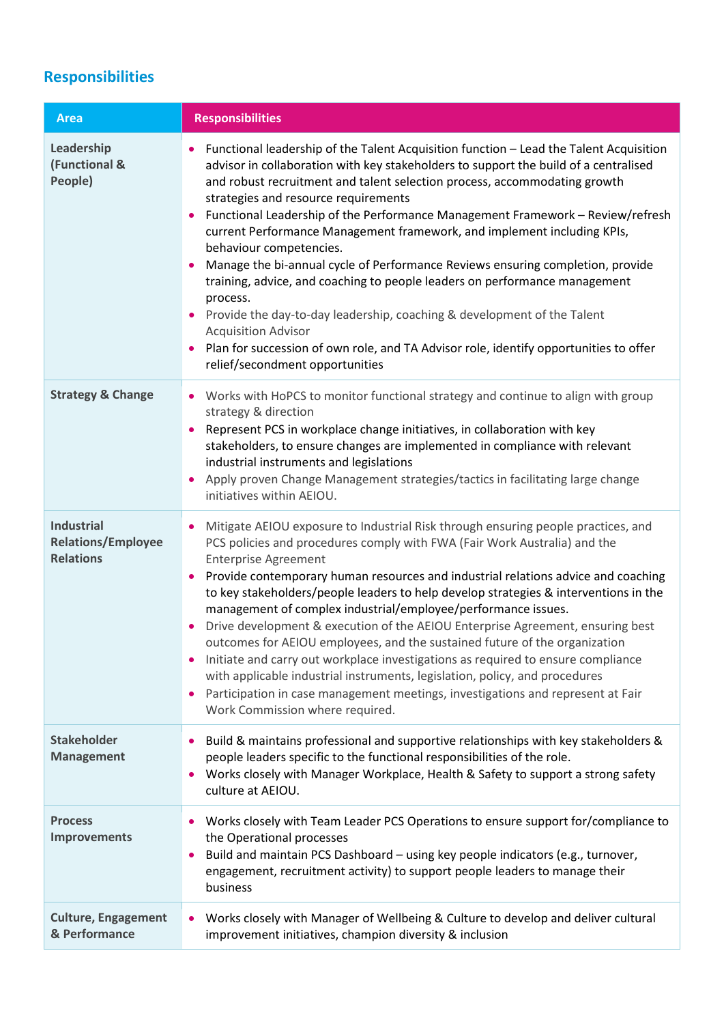# **Responsibilities**

| <b>Area</b>                                                        | <b>Responsibilities</b>                                                                                                                                                                                                                                                                                                                                                                                                                                                                                                                                                                                                                                                                                                                                                                                                                                                                                                                     |
|--------------------------------------------------------------------|---------------------------------------------------------------------------------------------------------------------------------------------------------------------------------------------------------------------------------------------------------------------------------------------------------------------------------------------------------------------------------------------------------------------------------------------------------------------------------------------------------------------------------------------------------------------------------------------------------------------------------------------------------------------------------------------------------------------------------------------------------------------------------------------------------------------------------------------------------------------------------------------------------------------------------------------|
| Leadership<br>(Functional &<br>People)                             | Functional leadership of the Talent Acquisition function - Lead the Talent Acquisition<br>advisor in collaboration with key stakeholders to support the build of a centralised<br>and robust recruitment and talent selection process, accommodating growth<br>strategies and resource requirements<br>Functional Leadership of the Performance Management Framework - Review/refresh<br>current Performance Management framework, and implement including KPIs,<br>behaviour competencies.<br>Manage the bi-annual cycle of Performance Reviews ensuring completion, provide<br>training, advice, and coaching to people leaders on performance management<br>process.<br>• Provide the day-to-day leadership, coaching & development of the Talent<br><b>Acquisition Advisor</b><br>Plan for succession of own role, and TA Advisor role, identify opportunities to offer<br>relief/secondment opportunities                              |
| <b>Strategy &amp; Change</b>                                       | Works with HoPCS to monitor functional strategy and continue to align with group<br>strategy & direction<br>Represent PCS in workplace change initiatives, in collaboration with key<br>$\bullet$<br>stakeholders, to ensure changes are implemented in compliance with relevant<br>industrial instruments and legislations<br>Apply proven Change Management strategies/tactics in facilitating large change<br>initiatives within AEIOU.                                                                                                                                                                                                                                                                                                                                                                                                                                                                                                  |
| <b>Industrial</b><br><b>Relations/Employee</b><br><b>Relations</b> | Mitigate AEIOU exposure to Industrial Risk through ensuring people practices, and<br>PCS policies and procedures comply with FWA (Fair Work Australia) and the<br><b>Enterprise Agreement</b><br>Provide contemporary human resources and industrial relations advice and coaching<br>$\bullet$<br>to key stakeholders/people leaders to help develop strategies & interventions in the<br>management of complex industrial/employee/performance issues.<br>Drive development & execution of the AEIOU Enterprise Agreement, ensuring best<br>$\bullet$<br>outcomes for AEIOU employees, and the sustained future of the organization<br>Initiate and carry out workplace investigations as required to ensure compliance<br>with applicable industrial instruments, legislation, policy, and procedures<br>Participation in case management meetings, investigations and represent at Fair<br>$\bullet$<br>Work Commission where required. |
| <b>Stakeholder</b><br><b>Management</b>                            | Build & maintains professional and supportive relationships with key stakeholders &<br>people leaders specific to the functional responsibilities of the role.<br>Works closely with Manager Workplace, Health & Safety to support a strong safety<br>culture at AEIOU.                                                                                                                                                                                                                                                                                                                                                                                                                                                                                                                                                                                                                                                                     |
| <b>Process</b><br><b>Improvements</b>                              | Works closely with Team Leader PCS Operations to ensure support for/compliance to<br>$\bullet$<br>the Operational processes<br>Build and maintain PCS Dashboard - using key people indicators (e.g., turnover,<br>engagement, recruitment activity) to support people leaders to manage their<br>business                                                                                                                                                                                                                                                                                                                                                                                                                                                                                                                                                                                                                                   |
| <b>Culture, Engagement</b><br>& Performance                        | Works closely with Manager of Wellbeing & Culture to develop and deliver cultural<br>$\bullet$<br>improvement initiatives, champion diversity & inclusion                                                                                                                                                                                                                                                                                                                                                                                                                                                                                                                                                                                                                                                                                                                                                                                   |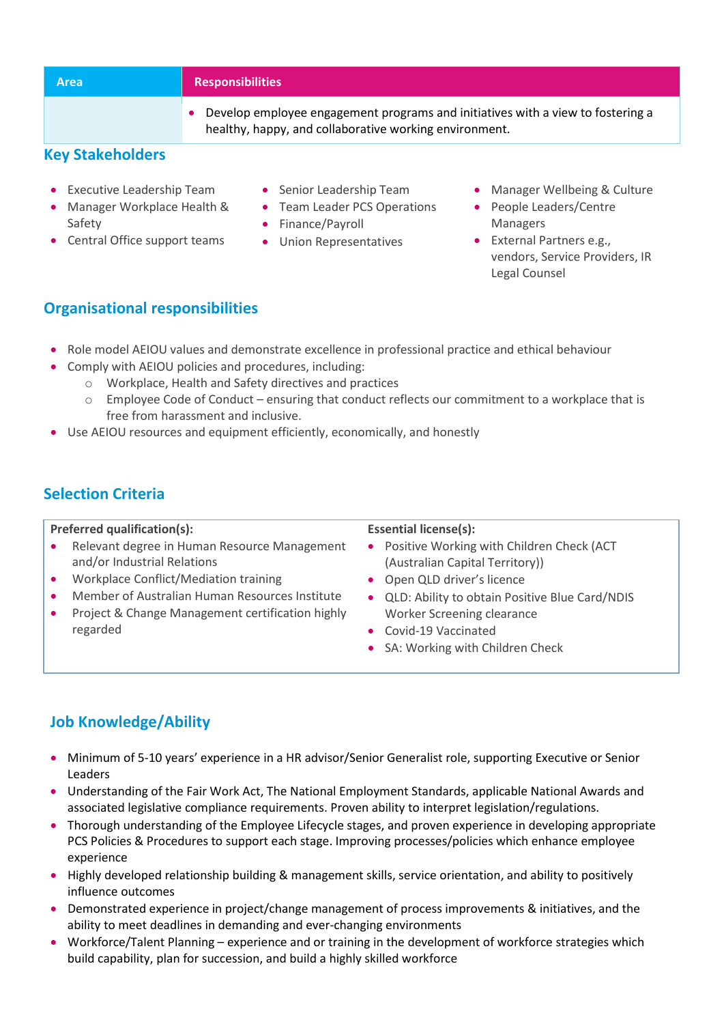| <b>Area</b>             | <b>Responsibilities</b>                                                                                                                   |
|-------------------------|-------------------------------------------------------------------------------------------------------------------------------------------|
|                         | Develop employee engagement programs and initiatives with a view to fostering a<br>healthy, happy, and collaborative working environment. |
| <b>Key Stakeholders</b> |                                                                                                                                           |

## • Executive Leadership Team

- Manager Workplace Health & Safety
- Central Office support teams
- Senior Leadership Team
- Team Leader PCS Operations
- Finance/Payroll
- Union Representatives
- Manager Wellbeing & Culture
- People Leaders/Centre Managers
- External Partners e.g., vendors, Service Providers, IR Legal Counsel

## **Organisational responsibilities**

- Role model AEIOU values and demonstrate excellence in professional practice and ethical behaviour
- Comply with AEIOU policies and procedures, including:
	- o Workplace, Health and Safety directives and practices
	- o Employee Code of Conduct ensuring that conduct reflects our commitment to a workplace that is free from harassment and inclusive.
- Use AEIOU resources and equipment efficiently, economically, and honestly

# **Selection Criteria**

#### **Preferred qualification(s):**

#### **Essential license(s):**

- Relevant degree in Human Resource Management and/or Industrial Relations
- Workplace Conflict/Mediation training
- Member of Australian Human Resources Institute
- Project & Change Management certification highly regarded
- Positive Working with Children Check (ACT (Australian Capital Territory))
- Open QLD driver's licence
- QLD: Ability to obtain Positive Blue Card/NDIS Worker Screening clearance
- Covid-19 Vaccinated
- SA: Working with Children Check

# **Job Knowledge/Ability**

- Minimum of 5-10 years' experience in a HR advisor/Senior Generalist role, supporting Executive or Senior Leaders
- Understanding of the Fair Work Act, The National Employment Standards, applicable National Awards and associated legislative compliance requirements. Proven ability to interpret legislation/regulations.
- Thorough understanding of the Employee Lifecycle stages, and proven experience in developing appropriate PCS Policies & Procedures to support each stage. Improving processes/policies which enhance employee experience
- Highly developed relationship building & management skills, service orientation, and ability to positively influence outcomes
- Demonstrated experience in project/change management of process improvements & initiatives, and the ability to meet deadlines in demanding and ever-changing environments
- Workforce/Talent Planning experience and or training in the development of workforce strategies which build capability, plan for succession, and build a highly skilled workforce